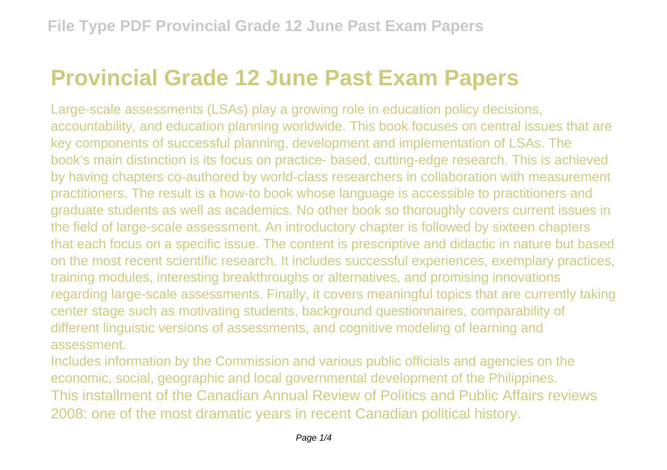## **Provincial Grade 12 June Past Exam Papers**

Large-scale assessments (LSAs) play a growing role in education policy decisions, accountability, and education planning worldwide. This book focuses on central issues that are key components of successful planning, development and implementation of LSAs. The book's main distinction is its focus on practice- based, cutting-edge research. This is achieved by having chapters co-authored by world-class researchers in collaboration with measurement practitioners. The result is a how-to book whose language is accessible to practitioners and graduate students as well as academics. No other book so thoroughly covers current issues in the field of large-scale assessment. An introductory chapter is followed by sixteen chapters that each focus on a specific issue. The content is prescriptive and didactic in nature but based on the most recent scientific research. It includes successful experiences, exemplary practices, training modules, interesting breakthroughs or alternatives, and promising innovations regarding large-scale assessments. Finally, it covers meaningful topics that are currently taking center stage such as motivating students, background questionnaires, comparability of different linguistic versions of assessments, and cognitive modeling of learning and assessment.

Includes information by the Commission and various public officials and agencies on the economic, social, geographic and local governmental development of the Philippines. This installment of the Canadian Annual Review of Politics and Public Affairs reviews 2008: one of the most dramatic years in recent Canadian political history.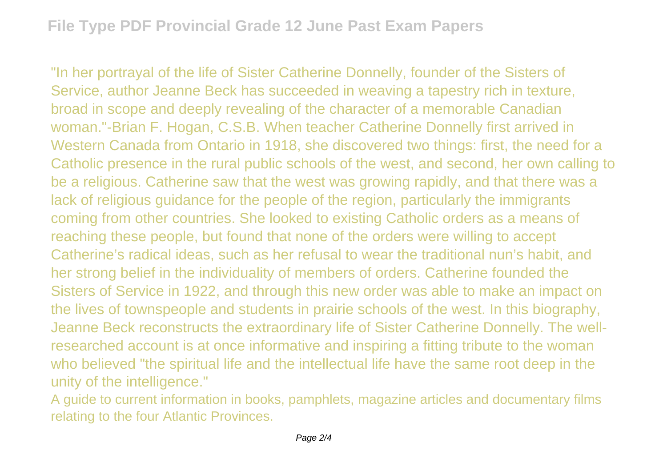"In her portrayal of the life of Sister Catherine Donnelly, founder of the Sisters of Service, author Jeanne Beck has succeeded in weaving a tapestry rich in texture, broad in scope and deeply revealing of the character of a memorable Canadian woman."-Brian F. Hogan, C.S.B. When teacher Catherine Donnelly first arrived in Western Canada from Ontario in 1918, she discovered two things: first, the need for a Catholic presence in the rural public schools of the west, and second, her own calling to be a religious. Catherine saw that the west was growing rapidly, and that there was a lack of religious guidance for the people of the region, particularly the immigrants coming from other countries. She looked to existing Catholic orders as a means of reaching these people, but found that none of the orders were willing to accept Catherine's radical ideas, such as her refusal to wear the traditional nun's habit, and her strong belief in the individuality of members of orders. Catherine founded the Sisters of Service in 1922, and through this new order was able to make an impact on the lives of townspeople and students in prairie schools of the west. In this biography, Jeanne Beck reconstructs the extraordinary life of Sister Catherine Donnelly. The wellresearched account is at once informative and inspiring a fitting tribute to the woman who believed "the spiritual life and the intellectual life have the same root deep in the unity of the intelligence."

A guide to current information in books, pamphlets, magazine articles and documentary films relating to the four Atlantic Provinces.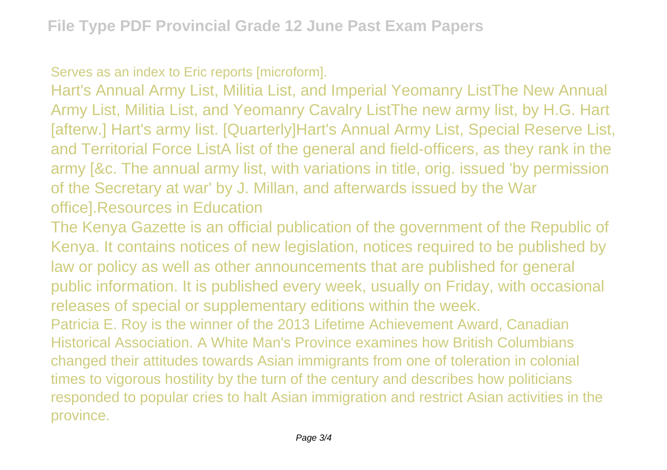Serves as an index to Eric reports [microform].

Hart's Annual Army List, Militia List, and Imperial Yeomanry ListThe New Annual Army List, Militia List, and Yeomanry Cavalry ListThe new army list, by H.G. Hart [afterw.] Hart's army list. [Quarterly]Hart's Annual Army List, Special Reserve List, and Territorial Force ListA list of the general and field-officers, as they rank in the army [&c. The annual army list, with variations in title, orig. issued 'by permission of the Secretary at war' by J. Millan, and afterwards issued by the War office].Resources in Education

The Kenya Gazette is an official publication of the government of the Republic of Kenya. It contains notices of new legislation, notices required to be published by law or policy as well as other announcements that are published for general public information. It is published every week, usually on Friday, with occasional releases of special or supplementary editions within the week. Patricia E. Roy is the winner of the 2013 Lifetime Achievement Award, Canadian Historical Association. A White Man's Province examines how British Columbians changed their attitudes towards Asian immigrants from one of toleration in colonial

times to vigorous hostility by the turn of the century and describes how politicians responded to popular cries to halt Asian immigration and restrict Asian activities in the province.